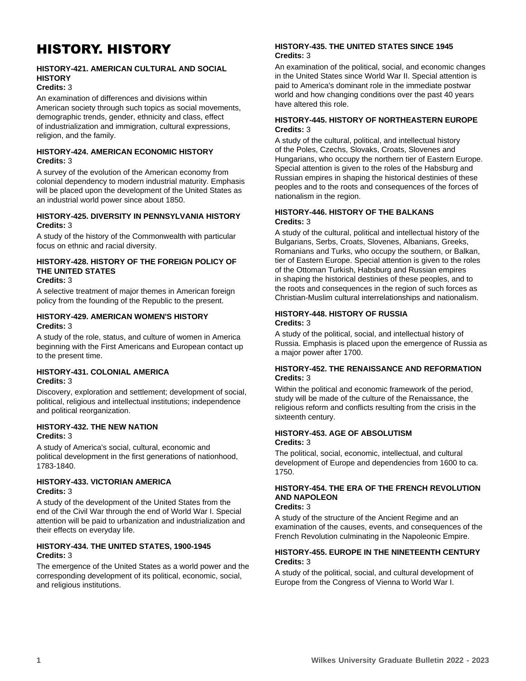# HISTORY. HISTORY

# **HISTORY-421. AMERICAN CULTURAL AND SOCIAL HISTORY**

# **Credits:** 3

An examination of differences and divisions within American society through such topics as social movements, demographic trends, gender, ethnicity and class, effect of industrialization and immigration, cultural expressions, religion, and the family.

#### **HISTORY-424. AMERICAN ECONOMIC HISTORY Credits:** 3

A survey of the evolution of the American economy from colonial dependency to modern industrial maturity. Emphasis will be placed upon the development of the United States as an industrial world power since about 1850.

## **HISTORY-425. DIVERSITY IN PENNSYLVANIA HISTORY Credits:** 3

A study of the history of the Commonwealth with particular focus on ethnic and racial diversity.

#### **HISTORY-428. HISTORY OF THE FOREIGN POLICY OF THE UNITED STATES Credits:** 3

A selective treatment of major themes in American foreign policy from the founding of the Republic to the present.

## **HISTORY-429. AMERICAN WOMEN'S HISTORY Credits:** 3

A study of the role, status, and culture of women in America beginning with the First Americans and European contact up to the present time.

# **HISTORY-431. COLONIAL AMERICA Credits:** 3

Discovery, exploration and settlement; development of social, political, religious and intellectual institutions; independence and political reorganization.

#### **HISTORY-432. THE NEW NATION Credits:** 3

A study of America's social, cultural, economic and political development in the first generations of nationhood, 1783-1840.

# **HISTORY-433. VICTORIAN AMERICA Credits:** 3

A study of the development of the United States from the end of the Civil War through the end of World War I. Special attention will be paid to urbanization and industrialization and their effects on everyday life.

## **HISTORY-434. THE UNITED STATES, 1900-1945 Credits:** 3

The emergence of the United States as a world power and the corresponding development of its political, economic, social, and religious institutions.

## **HISTORY-435. THE UNITED STATES SINCE 1945 Credits:** 3

An examination of the political, social, and economic changes in the United States since World War II. Special attention is paid to America's dominant role in the immediate postwar world and how changing conditions over the past 40 years have altered this role.

## **HISTORY-445. HISTORY OF NORTHEASTERN EUROPE Credits:** 3

A study of the cultural, political, and intellectual history of the Poles, Czechs, Slovaks, Croats, Slovenes and Hungarians, who occupy the northern tier of Eastern Europe. Special attention is given to the roles of the Habsburg and Russian empires in shaping the historical destinies of these peoples and to the roots and consequences of the forces of nationalism in the region.

# **HISTORY-446. HISTORY OF THE BALKANS Credits:** 3

A study of the cultural, political and intellectual history of the Bulgarians, Serbs, Croats, Slovenes, Albanians, Greeks, Romanians and Turks, who occupy the southern, or Balkan, tier of Eastern Europe. Special attention is given to the roles of the Ottoman Turkish, Habsburg and Russian empires in shaping the historical destinies of these peoples, and to the roots and consequences in the region of such forces as Christian-Muslim cultural interrelationships and nationalism.

## **HISTORY-448. HISTORY OF RUSSIA Credits:** 3

A study of the political, social, and intellectual history of Russia. Emphasis is placed upon the emergence of Russia as a major power after 1700.

## **HISTORY-452. THE RENAISSANCE AND REFORMATION Credits:** 3

Within the political and economic framework of the period, study will be made of the culture of the Renaissance, the religious reform and conflicts resulting from the crisis in the sixteenth century.

#### **HISTORY-453. AGE OF ABSOLUTISM Credits:** 3

The political, social, economic, intellectual, and cultural development of Europe and dependencies from 1600 to ca. 1750.

#### **HISTORY-454. THE ERA OF THE FRENCH REVOLUTION AND NAPOLEON Credits:** 3

A study of the structure of the Ancient Regime and an examination of the causes, events, and consequences of the French Revolution culminating in the Napoleonic Empire.

## **HISTORY-455. EUROPE IN THE NINETEENTH CENTURY Credits:** 3

A study of the political, social, and cultural development of Europe from the Congress of Vienna to World War I.